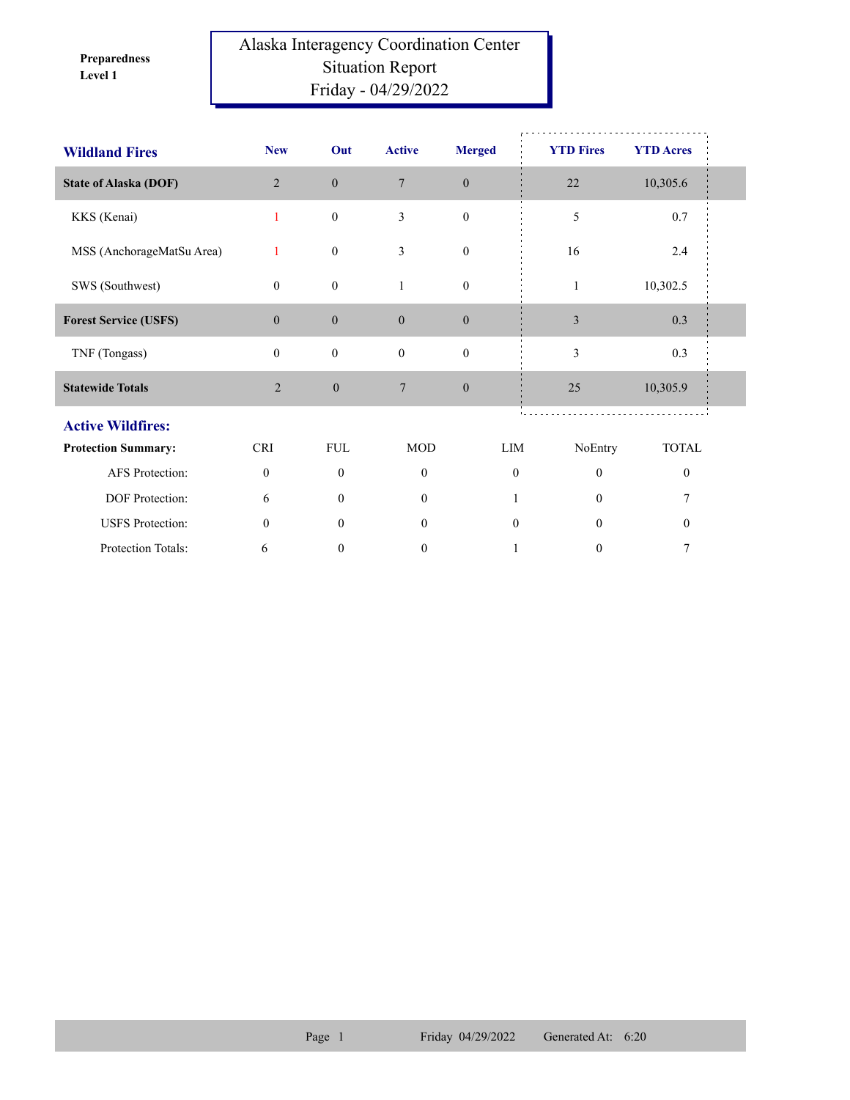**Level 1 Preparedness** 

## Alaska Interagency Coordination Center Situation Report Friday - 04/29/2022

| <b>Wildland Fires</b>        | <b>New</b>     | Out              | <b>Active</b>    | <b>Merged</b>    | <b>YTD Fires</b> | <b>YTD Acres</b> |  |
|------------------------------|----------------|------------------|------------------|------------------|------------------|------------------|--|
| <b>State of Alaska (DOF)</b> | $\overline{2}$ | $\boldsymbol{0}$ | $\overline{7}$   | $\mathbf{0}$     | $22\,$           | 10,305.6         |  |
| KKS (Kenai)                  | 1              | $\boldsymbol{0}$ | 3                | $\boldsymbol{0}$ | 5                | 0.7              |  |
| MSS (AnchorageMatSu Area)    | $\mathbf{1}$   | $\boldsymbol{0}$ | 3                | $\boldsymbol{0}$ | 16               | 2.4              |  |
| SWS (Southwest)              | $\mathbf{0}$   | $\boldsymbol{0}$ | 1                | $\boldsymbol{0}$ | $\mathbf{1}$     | 10,302.5         |  |
| <b>Forest Service (USFS)</b> | $\mathbf{0}$   | $\boldsymbol{0}$ | $\mathbf{0}$     | $\boldsymbol{0}$ | $\mathfrak{Z}$   | 0.3              |  |
| TNF (Tongass)                | $\mathbf{0}$   | $\boldsymbol{0}$ | $\mathbf{0}$     | $\boldsymbol{0}$ | 3                | 0.3              |  |
| <b>Statewide Totals</b>      | $\overline{2}$ | $\boldsymbol{0}$ | 7                | $\mathbf{0}$     | 25               | 10,305.9         |  |
| <b>Active Wildfires:</b>     |                |                  |                  |                  |                  |                  |  |
| <b>Protection Summary:</b>   | <b>CRI</b>     | <b>FUL</b>       | <b>MOD</b>       | LIM              | NoEntry          | <b>TOTAL</b>     |  |
| <b>AFS</b> Protection:       | $\mathbf{0}$   | $\theta$         | $\theta$         | $\theta$         | $\theta$         | $\bf{0}$         |  |
| DOF Protection:              | 6              | $\theta$         | $\theta$         |                  | $\theta$         | 7                |  |
| <b>USFS</b> Protection:      | $\mathbf{0}$   | $\theta$         | $\mathbf{0}$     | $\mathbf{0}$     | $\theta$         | $\theta$         |  |
| Protection Totals:           | 6              | $\boldsymbol{0}$ | $\boldsymbol{0}$ |                  | $\boldsymbol{0}$ | 7                |  |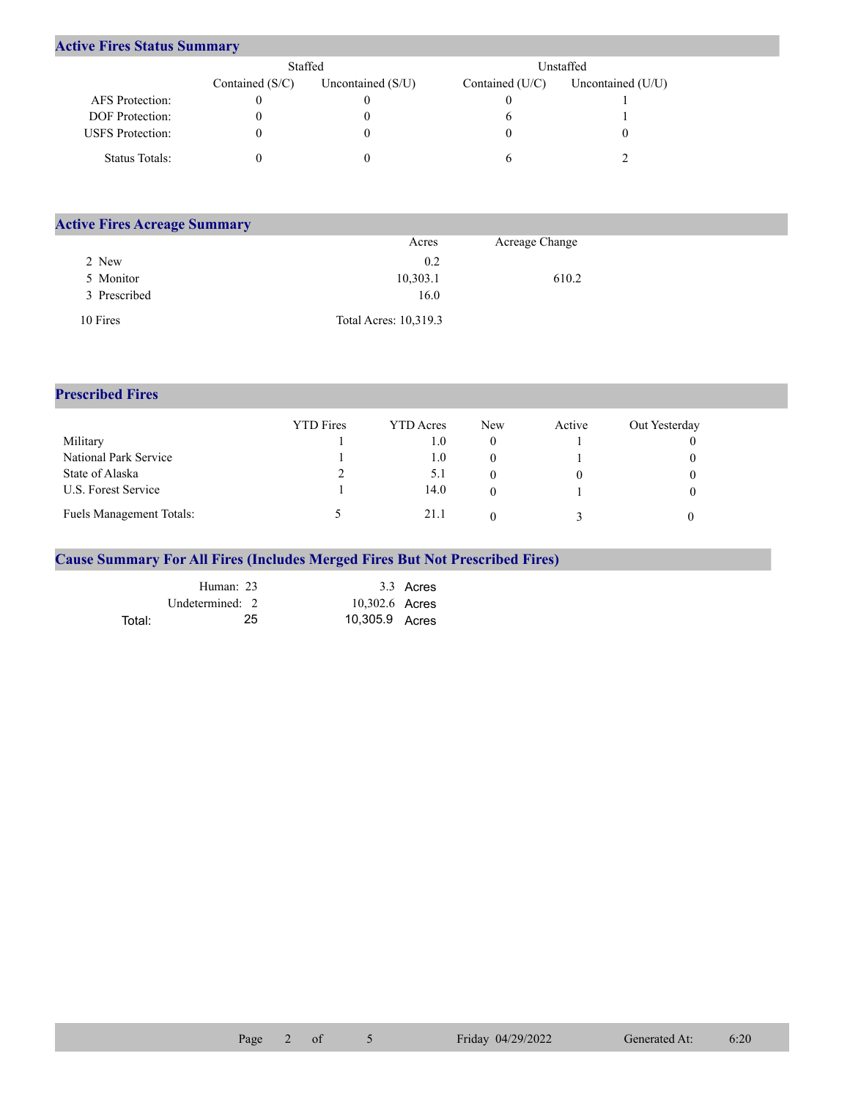## **Active Fires Status Summary**

|                         | Staffed           |                     |                 | Unstaffed         |
|-------------------------|-------------------|---------------------|-----------------|-------------------|
|                         | Contained $(S/C)$ | Uncontained $(S/U)$ | Contained (U/C) | Uncontained (U/U) |
| AFS Protection:         |                   |                     |                 |                   |
| <b>DOF</b> Protection:  |                   |                     |                 |                   |
| <b>USFS</b> Protection: |                   |                     |                 |                   |
| Status Totals:          |                   |                     |                 |                   |

| <b>Active Fires Acreage Summary</b> |                       |                |  |
|-------------------------------------|-----------------------|----------------|--|
|                                     | Acres                 | Acreage Change |  |
| 2 New                               | 0.2                   |                |  |
| 5 Monitor                           | 10,303.1              | 610.2          |  |
| 3 Prescribed                        | 16.0                  |                |  |
| 10 Fires                            | Total Acres: 10,319.3 |                |  |

## **Prescribed Fires**

|                                 | <b>YTD</b> Fires | <b>YTD</b> Acres | <b>New</b> | Active | Out Yesterday |
|---------------------------------|------------------|------------------|------------|--------|---------------|
| Military                        |                  | . O              |            |        |               |
| National Park Service           |                  | 1.0              |            |        |               |
| State of Alaska                 |                  | 5.1              |            |        |               |
| U.S. Forest Service             |                  | 14.0             |            |        |               |
| <b>Fuels Management Totals:</b> |                  | 21.1             |            |        |               |

## **Cause Summary For All Fires (Includes Merged Fires But Not Prescribed Fires)**

|        | Human: 23       |                | 3.3 Acres |
|--------|-----------------|----------------|-----------|
|        | Undetermined: 2 | 10,302.6 Acres |           |
| Total: | 25.             | 10,305.9 Acres |           |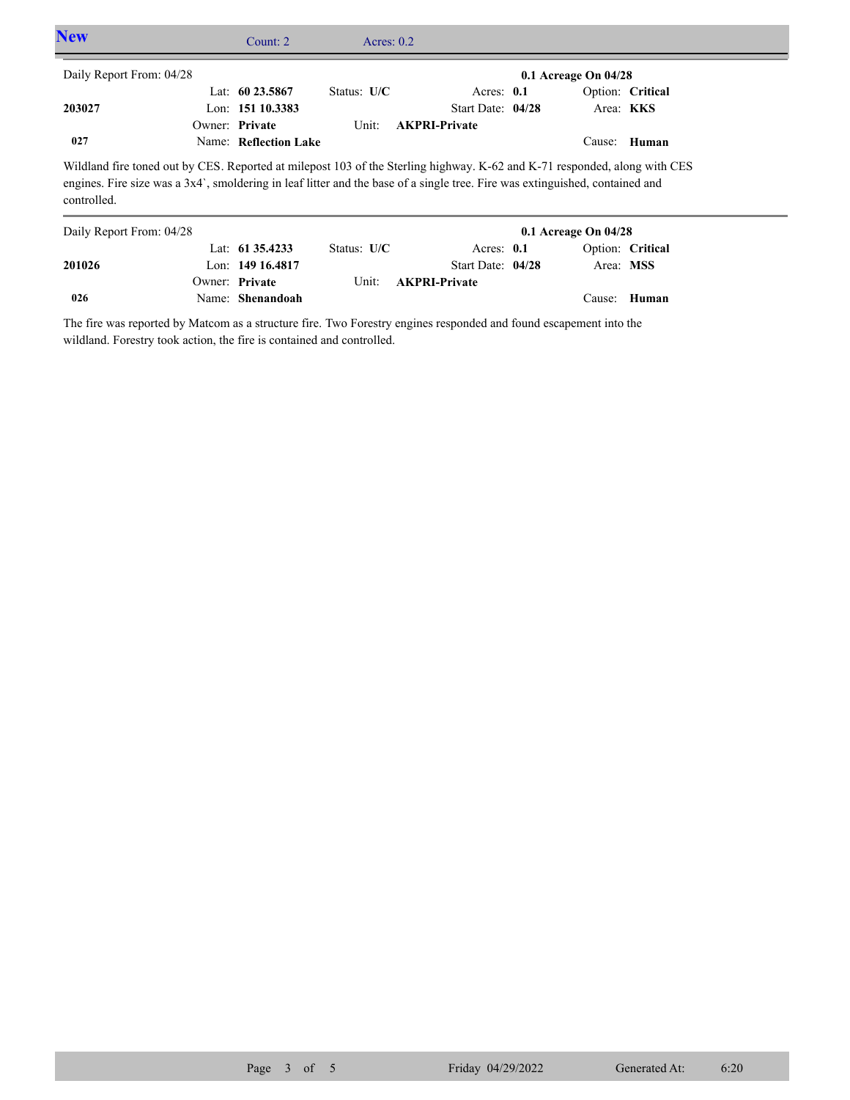| <b>New</b>               | Count: $2^{\circ}$    | Acres: $0.2$  |                                                                                                                                                                                                                                                           |                          |                  |  |
|--------------------------|-----------------------|---------------|-----------------------------------------------------------------------------------------------------------------------------------------------------------------------------------------------------------------------------------------------------------|--------------------------|------------------|--|
| Daily Report From: 04/28 |                       |               |                                                                                                                                                                                                                                                           | $0.1$ Acreage On $04/28$ |                  |  |
|                          | Lat: $60\,23.5867$    | Status: $U/C$ | Acres: $0.1$                                                                                                                                                                                                                                              |                          | Option: Critical |  |
| 203027                   | Lon: 151 10.3383      |               | Start Date: 04/28                                                                                                                                                                                                                                         |                          | Area: KKS        |  |
|                          | Owner: Private        | Unit:         | <b>AKPRI-Private</b>                                                                                                                                                                                                                                      |                          |                  |  |
| 027                      | Name: Reflection Lake |               |                                                                                                                                                                                                                                                           |                          | Cause: Human     |  |
| controlled.              |                       |               | Wildland fire toned out by CES. Reported at milepost 103 of the Sterling highway. K-62 and K-71 responded, along with CES<br>engines. Fire size was a 3x4', smoldering in leaf litter and the base of a single tree. Fire was extinguished, contained and |                          |                  |  |
| Daily Report From: 04/28 |                       |               |                                                                                                                                                                                                                                                           | $0.1$ Acreage On $04/28$ |                  |  |
|                          | Lat: $61\,35.4233$    | Status: $U/C$ | Acres: $0.1$                                                                                                                                                                                                                                              |                          | Option: Critical |  |
| 201026                   | Lon: $14916.4817$     |               | Start Date: 04/28                                                                                                                                                                                                                                         | Area: MSS                |                  |  |
|                          | Owner: Private        | Unit:         | <b>AKPRI-Private</b>                                                                                                                                                                                                                                      |                          |                  |  |

The fire was reported by Matcom as a structure fire. Two Forestry engines responded and found escapement into the wildland. Forestry took action, the fire is contained and controlled.

Name: **Shenandoah**

**026**

Cause: **Human**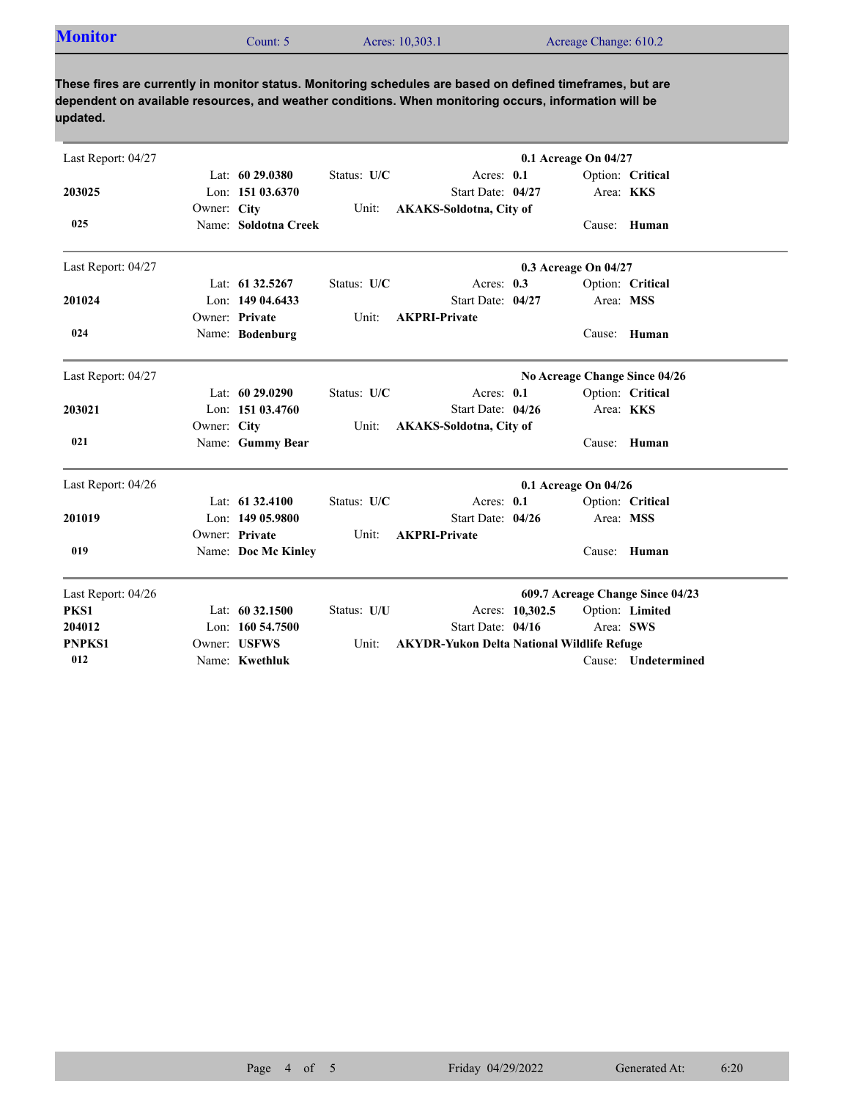| <b>Monitor</b> | `ount: 5 | Acres: 10,303.1 | Acreage Change: 610.2 |
|----------------|----------|-----------------|-----------------------|
|                |          |                 |                       |

**These fires are currently in monitor status. Monitoring schedules are based on defined timeframes, but are dependent on available resources, and weather conditions. When monitoring occurs, information will be updated.**

| Last Report: 04/27 |             |                      |             |                                                   |                 | 0.1 Acreage On 04/27 |                                  |
|--------------------|-------------|----------------------|-------------|---------------------------------------------------|-----------------|----------------------|----------------------------------|
|                    |             | Lat: $6029.0380$     | Status: U/C | Acres: 0.1                                        |                 |                      | Option: Critical                 |
| 203025             |             | Lon: 151 03.6370     |             | Start Date: 04/27                                 |                 | Area: KKS            |                                  |
|                    | Owner: City |                      | Unit:       | <b>AKAKS-Soldotna, City of</b>                    |                 |                      |                                  |
| 025                |             | Name: Soldotna Creek |             |                                                   |                 |                      | Cause: Human                     |
| Last Report: 04/27 |             |                      |             |                                                   |                 | 0.3 Acreage On 04/27 |                                  |
|                    |             | Lat: $61\,32.5267$   | Status: U/C | Acres: $0.3$                                      |                 |                      | Option: Critical                 |
| 201024             |             | Lon: $14904.6433$    |             | Start Date: 04/27                                 |                 | Area: MSS            |                                  |
|                    |             | Owner: Private       | Unit:       | <b>AKPRI-Private</b>                              |                 |                      |                                  |
| 024                |             | Name: Bodenburg      |             |                                                   |                 |                      | Cause: Human                     |
| Last Report: 04/27 |             |                      |             |                                                   |                 |                      | No Acreage Change Since 04/26    |
|                    |             | Lat: 60 29.0290      | Status: U/C | Acres: 0.1                                        |                 |                      | Option: Critical                 |
| 203021             |             | Lon: 151 03.4760     |             | Start Date: 04/26                                 |                 |                      | Area: KKS                        |
|                    | Owner: City |                      | Unit:       | <b>AKAKS-Soldotna, City of</b>                    |                 |                      |                                  |
| 021                |             | Name: Gummy Bear     |             |                                                   |                 | Cause:               | Human                            |
| Last Report: 04/26 |             |                      |             |                                                   |                 | 0.1 Acreage On 04/26 |                                  |
|                    |             | Lat: $61\,32.4100$   | Status: U/C | Acres: 0.1                                        |                 |                      | Option: Critical                 |
| 201019             |             | Lon: $14905.9800$    |             | Start Date: 04/26                                 |                 | Area: MSS            |                                  |
|                    |             | Owner: Private       | Unit:       | <b>AKPRI-Private</b>                              |                 |                      |                                  |
| 019                |             | Name: Doc Mc Kinley  |             |                                                   |                 | Cause:               | Human                            |
| Last Report: 04/26 |             |                      |             |                                                   |                 |                      | 609.7 Acreage Change Since 04/23 |
| PKS1               |             | Lat: 60 32.1500      | Status: U/U |                                                   | Acres: 10,302.5 |                      | Option: Limited                  |
| 204012             |             | Lon: $160\,54.7500$  |             | Start Date: 04/16                                 |                 |                      | Area: SWS                        |
| <b>PNPKS1</b>      |             | Owner: USFWS         | Unit:       | <b>AKYDR-Yukon Delta National Wildlife Refuge</b> |                 |                      |                                  |
| 012                |             | Name: Kwethluk       |             |                                                   |                 |                      | Cause: Undetermined              |